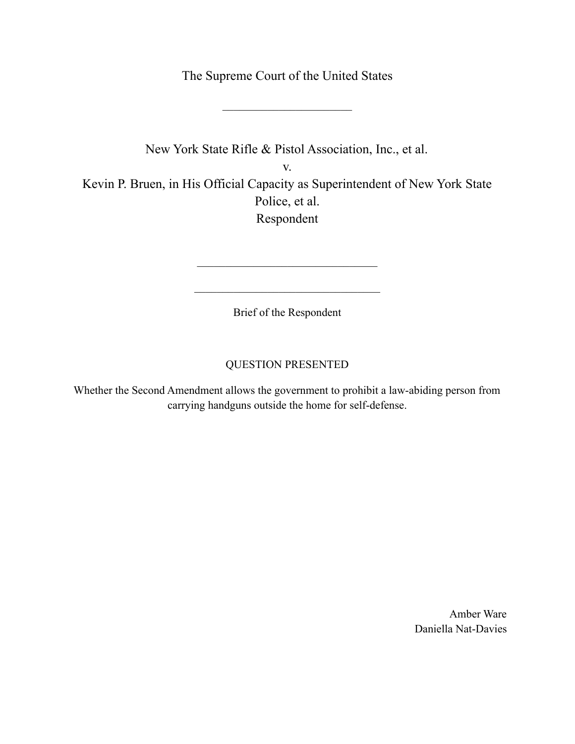The Supreme Court of the United States

 $\mathcal{L}_\text{max}$ 

New York State Rifle & Pistol Association, Inc., et al. v. Kevin P. Bruen, in His Official Capacity as Superintendent of New York State Police, et al. Respondent

Brief of the Respondent

 $\mathcal{L}_\text{max}$  , where  $\mathcal{L}_\text{max}$  and  $\mathcal{L}_\text{max}$  and  $\mathcal{L}_\text{max}$ 

 $\mathcal{L}_\text{max}$  , where  $\mathcal{L}_\text{max}$  and  $\mathcal{L}_\text{max}$  and  $\mathcal{L}_\text{max}$ 

# QUESTION PRESENTED

Whether the Second Amendment allows the government to prohibit a law-abiding person from carrying handguns outside the home for self-defense.

> Amber Ware Daniella Nat-Davies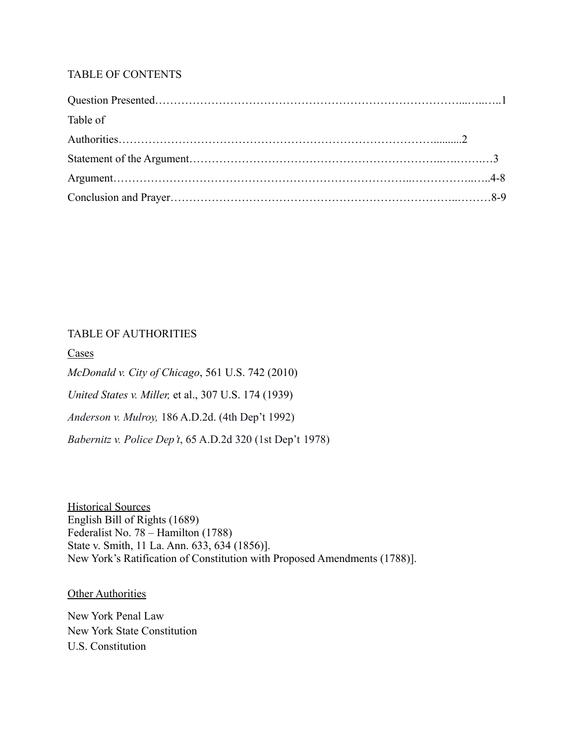## TABLE OF CONTENTS

| Table of |  |
|----------|--|
|          |  |
|          |  |
|          |  |
|          |  |

### TABLE OF AUTHORITIES

Cases

*McDonald v. City of Chicago*[, 561 U.S. 742 \(2010\)](https://scholar.google.com/scholar_case?case=10450488700560329027&hl=en&as_sdt=6&as_vis=1&oi=scholarr) *United States v. Miller,* [et al., 307 U.S. 174 \(1939\)](https://www.law.cornell.edu/supremecourt/text/307/174) *Anderson v. Mulroy,* 186 A.D.2d. (4th Dep't 1992) *Babernitz v. Police Dep't*, 65 A.D.2d 320 (1st Dep't 1978)

Historical Sources English Bill of Rights (1689) Federalist No. 78 – Hamilton (1788) State v. Smith, 11 La. Ann. 633, 634 (1856)]. New York's Ratification of Constitution with Proposed Amendments (1788)].

**Other Authorities** 

New York Penal Law New York State Constitution U.S. Constitution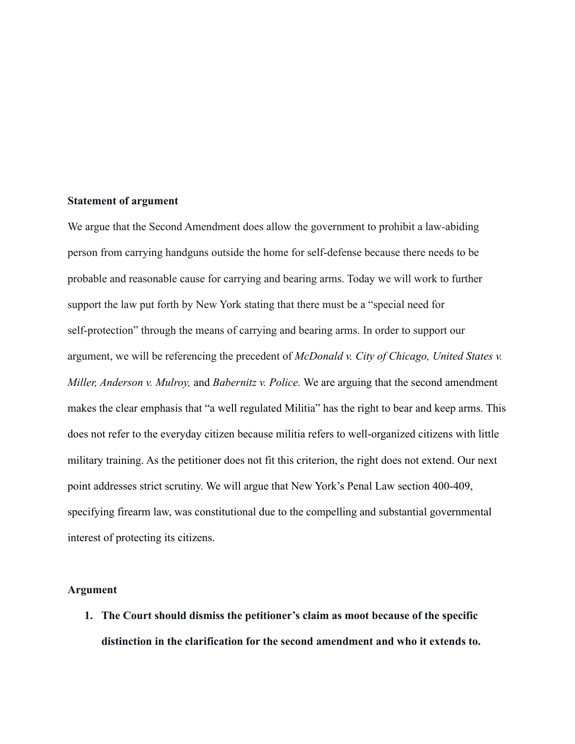### **Statement of argument**

We argue that the Second Amendment does allow the government to prohibit a law-abiding person from carrying handguns outside the home for self-defense because there needs to be probable and reasonable cause for carrying and bearing arms. Today we will work to further support the law put forth by New York stating that there must be a "special need for self-protection" through the means of carrying and bearing arms. In order to support our argument, we will be referencing the precedent of *McDonald v. City of Chicago, United States v. Miller, Anderson v. Mulroy,* and *Babernitz v. Police.* We are arguing that the second amendment makes the clear emphasis that "a well regulated Militia" has the right to bear and keep arms. This does not refer to the everyday citizen because militia refers to well-organized citizens with little military training. As the petitioner does not fit this criterion, the right does not extend. Our next point addresses strict scrutiny. We will argue that New York's Penal Law section 400-409, specifying firearm law, was constitutional due to the compelling and substantial governmental interest of protecting its citizens.

#### **Argument**

**1. The Court should dismiss the petitioner's claim as moot because of the specific distinction in the clarification for the second amendment and who it extends to.**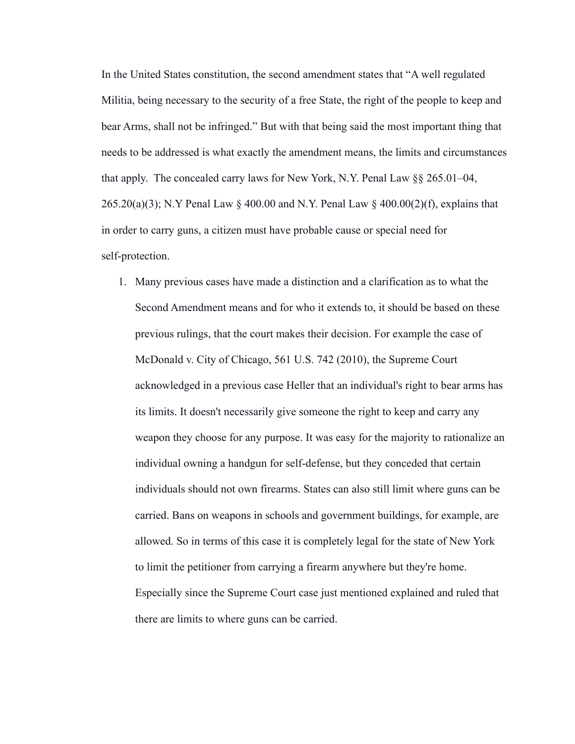In the United States constitution, the second amendment states that "A well regulated Militia, being necessary to the security of a free State, the right of the people to keep and bear Arms, shall not be infringed." But with that being said the most important thing that needs to be addressed is what exactly the amendment means, the limits and circumstances that apply. The concealed carry laws for New York, N.Y. Penal Law §§ 265.01–04, 265.20(a)(3); N.Y Penal Law § 400.00 and N.Y. Penal Law § 400.00(2)(f), explains that in order to carry guns, a citizen must have probable cause or special need for self-protection.

1. Many previous cases have made a distinction and a clarification as to what the Second Amendment means and for who it extends to, it should be based on these previous rulings, that the court makes their decision. For example the case of McDonald v. City of Chicago, 561 U.S. 742 (2010), the Supreme Court acknowledged in a previous case Heller that an individual's right to bear arms has its limits. It doesn't necessarily give someone the right to keep and carry any weapon they choose for any purpose. It was easy for the majority to rationalize an individual owning a handgun for self-defense, but they conceded that certain individuals should not own firearms. States can also still limit where guns can be carried. Bans on weapons in schools and government buildings, for example, are allowed. So in terms of this case it is completely legal for the state of New York to limit the petitioner from carrying a firearm anywhere but they're home. Especially since the Supreme Court case just mentioned explained and ruled that there are limits to where guns can be carried.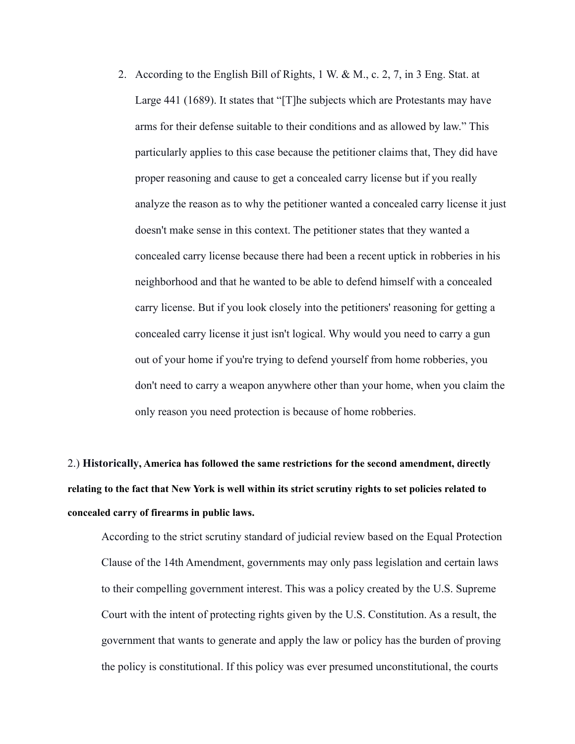2. According to the English Bill of Rights, 1 W. & M., c. 2, 7, in 3 Eng. Stat. at Large 441 (1689). It states that "[T]he subjects which are Protestants may have arms for their defense suitable to their conditions and as allowed by law." This particularly applies to this case because the petitioner claims that, They did have proper reasoning and cause to get a concealed carry license but if you really analyze the reason as to why the petitioner wanted a concealed carry license it just doesn't make sense in this context. The petitioner states that they wanted a concealed carry license because there had been a recent uptick in robberies in his neighborhood and that he wanted to be able to defend himself with a concealed carry license. But if you look closely into the petitioners' reasoning for getting a concealed carry license it just isn't logical. Why would you need to carry a gun out of your home if you're trying to defend yourself from home robberies, you don't need to carry a weapon anywhere other than your home, when you claim the only reason you need protection is because of home robberies.

2.) **Historically, America has followed the same restrictions for the second amendment, directly** relating to the fact that New York is well within its strict scrutiny rights to set policies related to **concealed carry of firearms in public laws.**

According to the strict scrutiny standard of judicial review based on the Equal Protection Clause of the 14th Amendment, governments may only pass legislation and certain laws to their compelling government interest. This was a policy created by the U.S. Supreme Court with the intent of protecting rights given by the U.S. Constitution. As a result, the government that wants to generate and apply the law or policy has the burden of proving the policy is constitutional. If this policy was ever presumed unconstitutional, the courts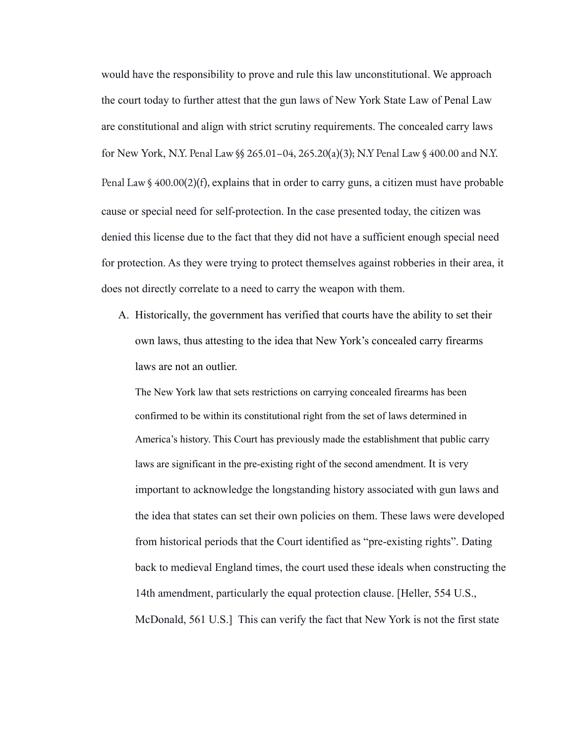would have the responsibility to prove and rule this law unconstitutional. We approach the court today to further attest that the gun laws of New York State Law of Penal Law are constitutional and align with strict scrutiny requirements. The concealed carry laws for New York, N.Y. Penal Law §§ 265.01–04, [265.20\(a\)\(3\)](https://www.nysenate.gov/legislation/laws/PEN/P3TPA265); N.Y Penal Law § [400.00](https://www.nysenate.gov/legislation/laws/PEN/400.00) and [N.Y.](https://www.nysenate.gov/legislation/laws/PEN/400.00) Penal Law § [400.00\(2\)\(f\),](https://www.nysenate.gov/legislation/laws/PEN/400.00) explains that in order to carry guns, a citizen must have probable cause or special need for self-protection. In the case presented today, the citizen was denied this license due to the fact that they did not have a sufficient enough special need for protection. As they were trying to protect themselves against robberies in their area, it does not directly correlate to a need to carry the weapon with them.

A. Historically, the government has verified that courts have the ability to set their own laws, thus attesting to the idea that New York's concealed carry firearms laws are not an outlier.

The New York law that sets restrictions on carrying concealed firearms has been confirmed to be within its constitutional right from the set of laws determined in America's history. This Court has previously made the establishment that public carry laws are significant in the pre-existing right of the second amendment. It is very important to acknowledge the longstanding history associated with gun laws and the idea that states can set their own policies on them. These laws were developed from historical periods that the Court identified as "pre-existing rights". Dating back to medieval England times, the court used these ideals when constructing the 14th amendment, particularly the equal protection clause. [Heller, 554 U.S., McDonald, 561 U.S.] This can verify the fact that New York is not the first state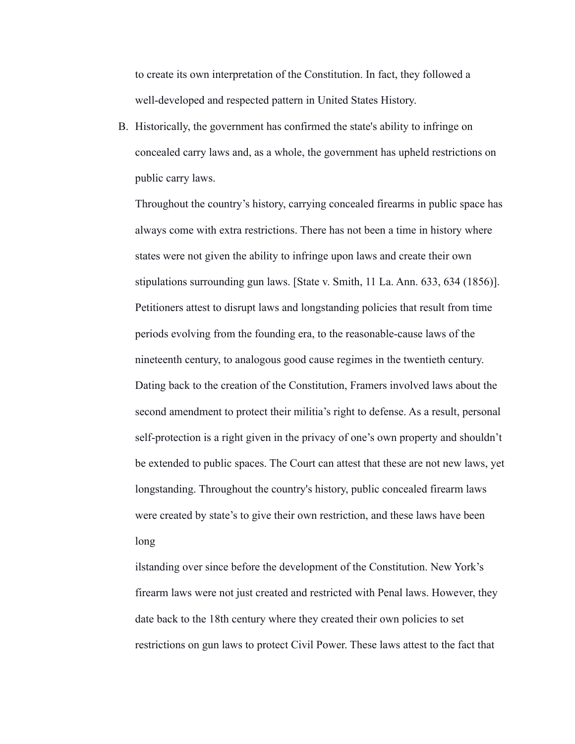to create its own interpretation of the Constitution. In fact, they followed a well-developed and respected pattern in United States History.

B. Historically, the government has confirmed the state's ability to infringe on concealed carry laws and, as a whole, the government has upheld restrictions on public carry laws.

Throughout the country's history, carrying concealed firearms in public space has always come with extra restrictions. There has not been a time in history where states were not given the ability to infringe upon laws and create their own stipulations surrounding gun laws. [State v. Smith, 11 La. Ann. 633, 634 (1856)]. Petitioners attest to disrupt laws and longstanding policies that result from time periods evolving from the founding era, to the reasonable-cause laws of the nineteenth century, to analogous good cause regimes in the twentieth century. Dating back to the creation of the Constitution, Framers involved laws about the second amendment to protect their militia's right to defense. As a result, personal self-protection is a right given in the privacy of one's own property and shouldn't be extended to public spaces. The Court can attest that these are not new laws, yet longstanding. Throughout the country's history, public concealed firearm laws were created by state's to give their own restriction, and these laws have been long

ilstanding over since before the development of the Constitution. New York's firearm laws were not just created and restricted with Penal laws. However, they date back to the 18th century where they created their own policies to set restrictions on gun laws to protect Civil Power. These laws attest to the fact that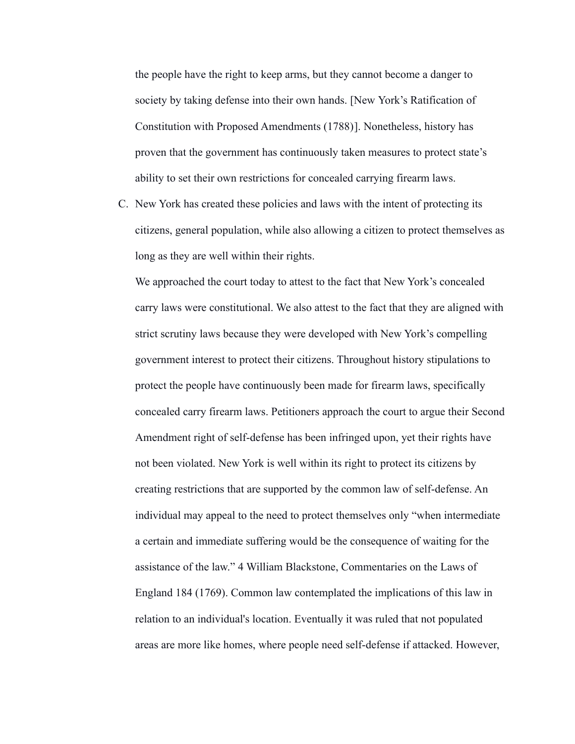the people have the right to keep arms, but they cannot become a danger to society by taking defense into their own hands. [New [York's Ratification of](https://www.madisonbrigade.com/library_bor_2nd_amendment.htm) [Constitution with Proposed Amendments \(1788\)](https://www.madisonbrigade.com/library_bor_2nd_amendment.htm)]. Nonetheless, history has proven that the government has continuously taken measures to protect state's ability to set their own restrictions for concealed carrying firearm laws.

C. New York has created these policies and laws with the intent of protecting its citizens, general population, while also allowing a citizen to protect themselves as long as they are well within their rights.

We approached the court today to attest to the fact that New York's concealed carry laws were constitutional. We also attest to the fact that they are aligned with strict scrutiny laws because they were developed with New York's compelling government interest to protect their citizens. Throughout history stipulations to protect the people have continuously been made for firearm laws, specifically concealed carry firearm laws. Petitioners approach the court to argue their Second Amendment right of self-defense has been infringed upon, yet their rights have not been violated. New York is well within its right to protect its citizens by creating restrictions that are supported by the common law of self-defense. An individual may appeal to the need to protect themselves only "when intermediate a certain and immediate suffering would be the consequence of waiting for the assistance of the law." 4 William Blackstone, Commentaries on the Laws of England 184 (1769). Common law contemplated the implications of this law in relation to an individual's location. Eventually it was ruled that not populated areas are more like homes, where people need self-defense if attacked. However,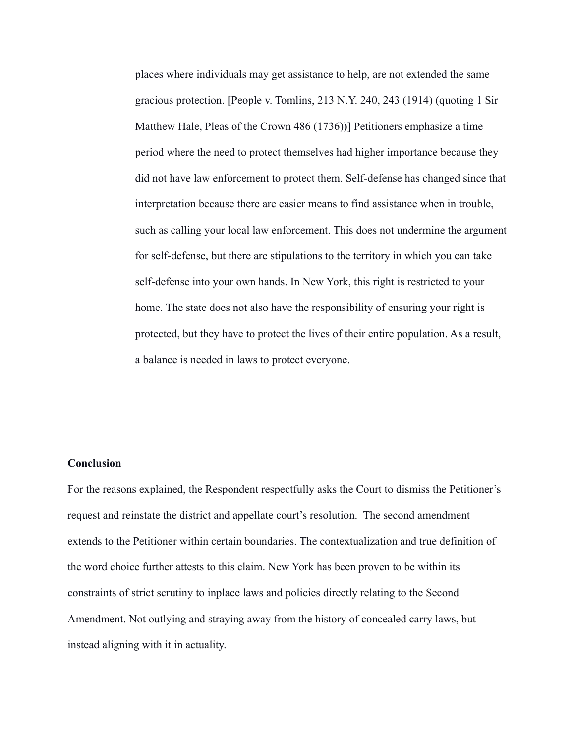places where individuals may get assistance to help, are not extended the same gracious protection. [People v. Tomlins, 213 N.Y. 240, 243 (1914) (quoting 1 Sir Matthew Hale, Pleas of the Crown 486 (1736))] Petitioners emphasize a time period where the need to protect themselves had higher importance because they did not have law enforcement to protect them. Self-defense has changed since that interpretation because there are easier means to find assistance when in trouble, such as calling your local law enforcement. This does not undermine the argument for self-defense, but there are stipulations to the territory in which you can take self-defense into your own hands. In New York, this right is restricted to your home. The state does not also have the responsibility of ensuring your right is protected, but they have to protect the lives of their entire population. As a result, a balance is needed in laws to protect everyone.

#### **Conclusion**

For the reasons explained, the Respondent respectfully asks the Court to dismiss the Petitioner's request and reinstate the district and appellate court's resolution. The second amendment extends to the Petitioner within certain boundaries. The contextualization and true definition of the word choice further attests to this claim. New York has been proven to be within its constraints of strict scrutiny to inplace laws and policies directly relating to the Second Amendment. Not outlying and straying away from the history of concealed carry laws, but instead aligning with it in actuality.